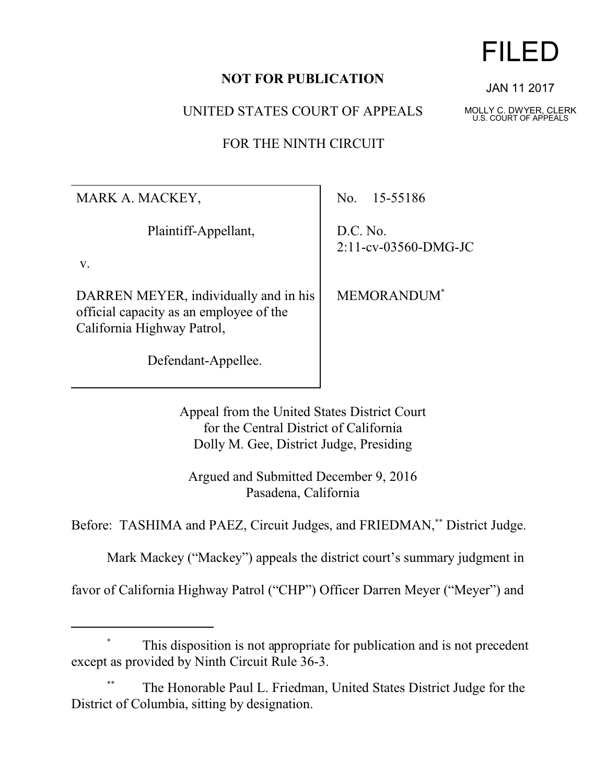## **NOT FOR PUBLICATION**

UNITED STATES COURT OF APPEALS

FOR THE NINTH CIRCUIT

MARK A. MACKEY,

Plaintiff-Appellant,

v.

DARREN MEYER, individually and in his official capacity as an employee of the California Highway Patrol,

Defendant-Appellee.

No. 15-55186

D.C. No. 2:11-cv-03560-DMG-JC

MEMORANDUM\*

Appeal from the United States District Court for the Central District of California Dolly M. Gee, District Judge, Presiding

Argued and Submitted December 9, 2016 Pasadena, California

Before: TASHIMA and PAEZ, Circuit Judges, and FRIEDMAN,\*\* District Judge.

Mark Mackey ("Mackey") appeals the district court's summary judgment in

favor of California Highway Patrol ("CHP") Officer Darren Meyer ("Meyer") and

# This disposition is not appropriate for publication and is not precedent except as provided by Ninth Circuit Rule 36-3.

The Honorable Paul L. Friedman, United States District Judge for the District of Columbia, sitting by designation.

# FILED

JAN 11 2017

MOLLY C. DWYER, CLERK U.S. COURT OF APPEALS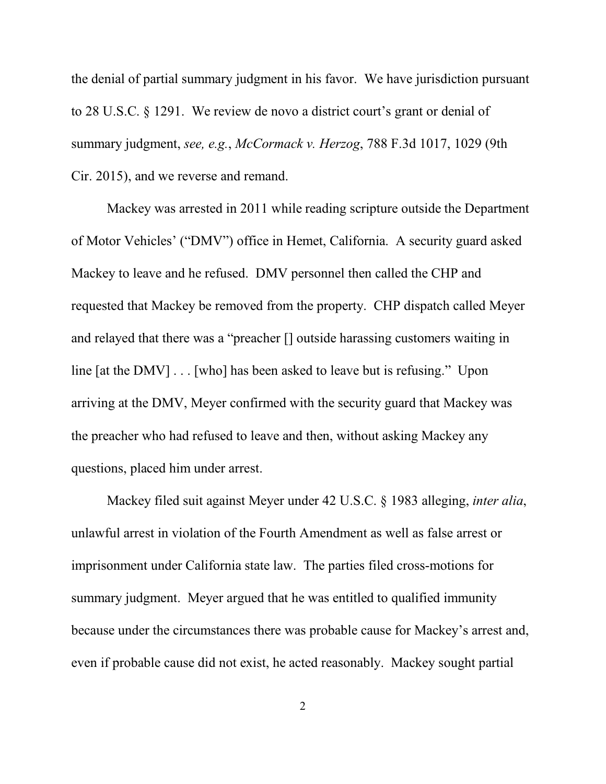the denial of partial summary judgment in his favor. We have jurisdiction pursuant to 28 U.S.C. § 1291. We review de novo a district court's grant or denial of summary judgment, *see, e.g.*, *McCormack v. Herzog*, 788 F.3d 1017, 1029 (9th Cir. 2015), and we reverse and remand.

Mackey was arrested in 2011 while reading scripture outside the Department of Motor Vehicles' ("DMV") office in Hemet, California. A security guard asked Mackey to leave and he refused. DMV personnel then called the CHP and requested that Mackey be removed from the property. CHP dispatch called Meyer and relayed that there was a "preacher [] outside harassing customers waiting in line [at the DMV] . . . [who] has been asked to leave but is refusing." Upon arriving at the DMV, Meyer confirmed with the security guard that Mackey was the preacher who had refused to leave and then, without asking Mackey any questions, placed him under arrest.

Mackey filed suit against Meyer under 42 U.S.C. § 1983 alleging, *inter alia*, unlawful arrest in violation of the Fourth Amendment as well as false arrest or imprisonment under California state law. The parties filed cross-motions for summary judgment. Meyer argued that he was entitled to qualified immunity because under the circumstances there was probable cause for Mackey's arrest and, even if probable cause did not exist, he acted reasonably. Mackey sought partial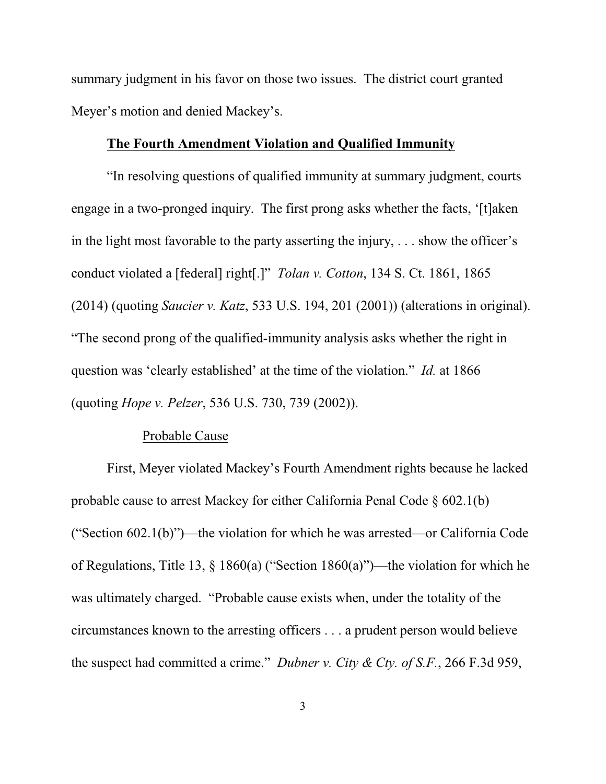summary judgment in his favor on those two issues. The district court granted Meyer's motion and denied Mackey's.

#### **The Fourth Amendment Violation and Qualified Immunity**

"In resolving questions of qualified immunity at summary judgment, courts engage in a two-pronged inquiry. The first prong asks whether the facts, '[t]aken in the light most favorable to the party asserting the injury,  $\ldots$  show the officer's conduct violated a [federal] right[.]" *Tolan v. Cotton*, 134 S. Ct. 1861, 1865 (2014) (quoting *Saucier v. Katz*, 533 U.S. 194, 201 (2001)) (alterations in original). "The second prong of the qualified-immunity analysis asks whether the right in question was 'clearly established' at the time of the violation." *Id.* at 1866 (quoting *Hope v. Pelzer*, 536 U.S. 730, 739 (2002)).

### Probable Cause

First, Meyer violated Mackey's Fourth Amendment rights because he lacked probable cause to arrest Mackey for either California Penal Code § 602.1(b) ("Section 602.1(b)")—the violation for which he was arrested—or California Code of Regulations, Title 13, § 1860(a) ("Section 1860(a)")—the violation for which he was ultimately charged. "Probable cause exists when, under the totality of the circumstances known to the arresting officers . . . a prudent person would believe the suspect had committed a crime." *Dubner v. City & Cty. of S.F.*, 266 F.3d 959,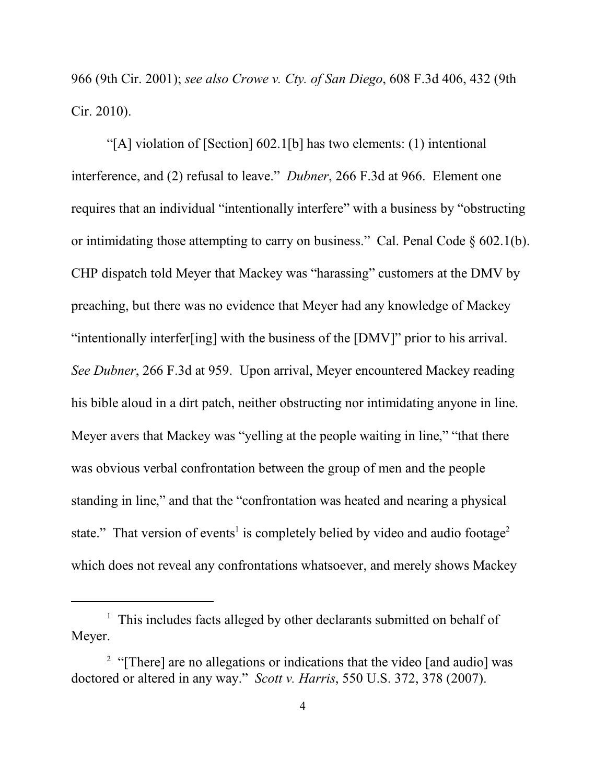966 (9th Cir. 2001); *see also Crowe v. Cty. of San Diego*, 608 F.3d 406, 432 (9th Cir. 2010).

"[A] violation of [Section] 602.1[b] has two elements: (1) intentional interference, and (2) refusal to leave." *Dubner*, 266 F.3d at 966. Element one requires that an individual "intentionally interfere" with a business by "obstructing or intimidating those attempting to carry on business." Cal. Penal Code § 602.1(b). CHP dispatch told Meyer that Mackey was "harassing" customers at the DMV by preaching, but there was no evidence that Meyer had any knowledge of Mackey "intentionally interfer[ing] with the business of the [DMV]" prior to his arrival. *See Dubner*, 266 F.3d at 959. Upon arrival, Meyer encountered Mackey reading his bible aloud in a dirt patch, neither obstructing nor intimidating anyone in line. Meyer avers that Mackey was "yelling at the people waiting in line," "that there was obvious verbal confrontation between the group of men and the people standing in line," and that the "confrontation was heated and nearing a physical state." That version of events<sup>1</sup> is completely belied by video and audio footage<sup>2</sup> which does not reveal any confrontations whatsoever, and merely shows Mackey

<sup>&</sup>lt;sup>1</sup> This includes facts alleged by other declarants submitted on behalf of Meyer.

<sup>&</sup>lt;sup>2</sup> "[There] are no allegations or indications that the video [and audio] was doctored or altered in any way." *Scott v. Harris*, 550 U.S. 372, 378 (2007).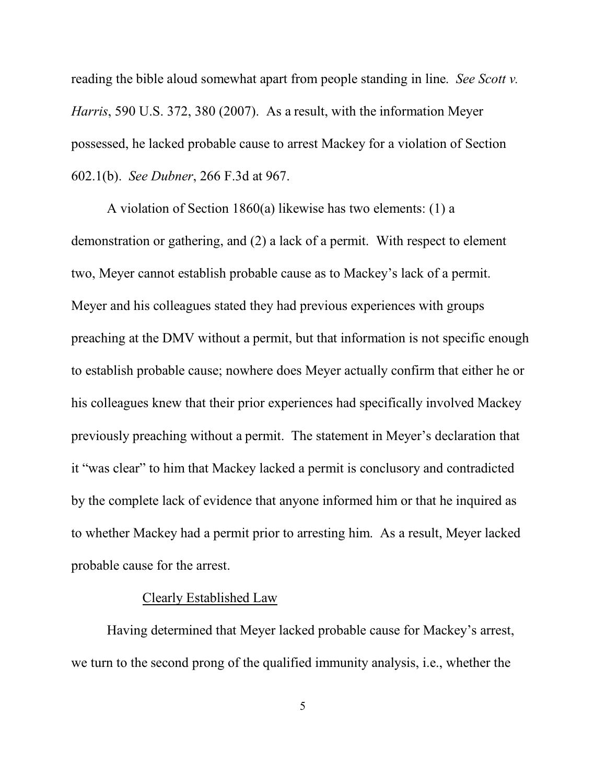reading the bible aloud somewhat apart from people standing in line. *See Scott v. Harris*, 590 U.S. 372, 380 (2007). As a result, with the information Meyer possessed, he lacked probable cause to arrest Mackey for a violation of Section 602.1(b). *See Dubner*, 266 F.3d at 967.

A violation of Section 1860(a) likewise has two elements: (1) a demonstration or gathering, and (2) a lack of a permit. With respect to element two, Meyer cannot establish probable cause as to Mackey's lack of a permit. Meyer and his colleagues stated they had previous experiences with groups preaching at the DMV without a permit, but that information is not specific enough to establish probable cause; nowhere does Meyer actually confirm that either he or his colleagues knew that their prior experiences had specifically involved Mackey previously preaching without a permit.The statement in Meyer's declaration that it "was clear" to him that Mackey lacked a permit is conclusory and contradicted by the complete lack of evidence that anyone informed him or that he inquired as to whether Mackey had a permit prior to arresting him. As a result, Meyer lacked probable cause for the arrest.

#### Clearly Established Law

Having determined that Meyer lacked probable cause for Mackey's arrest, we turn to the second prong of the qualified immunity analysis, i.e., whether the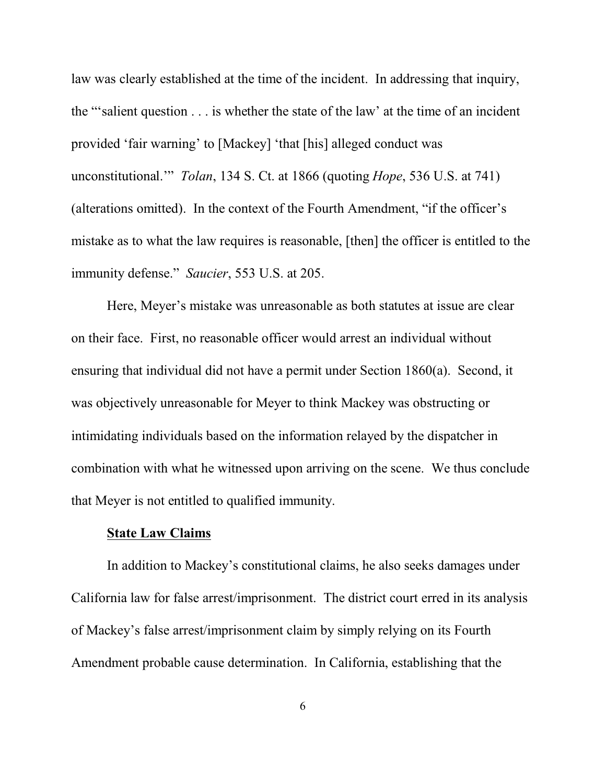law was clearly established at the time of the incident. In addressing that inquiry, the "'salient question . . . is whether the state of the law' at the time of an incident provided 'fair warning' to [Mackey] 'that [his] alleged conduct was unconstitutional.'" *Tolan*, 134 S. Ct. at 1866 (quoting *Hope*, 536 U.S. at 741) (alterations omitted). In the context of the Fourth Amendment, "if the officer's mistake as to what the law requires is reasonable, [then] the officer is entitled to the immunity defense." *Saucier*, 553 U.S. at 205.

Here, Meyer's mistake was unreasonable as both statutes at issue are clear on their face. First, no reasonable officer would arrest an individual without ensuring that individual did not have a permit under Section 1860(a). Second, it was objectively unreasonable for Meyer to think Mackey was obstructing or intimidating individuals based on the information relayed by the dispatcher in combination with what he witnessed upon arriving on the scene. We thus conclude that Meyer is not entitled to qualified immunity.

#### **State Law Claims**

In addition to Mackey's constitutional claims, he also seeks damages under California law for false arrest/imprisonment. The district court erred in its analysis of Mackey's false arrest/imprisonment claim by simply relying on its Fourth Amendment probable cause determination. In California, establishing that the

6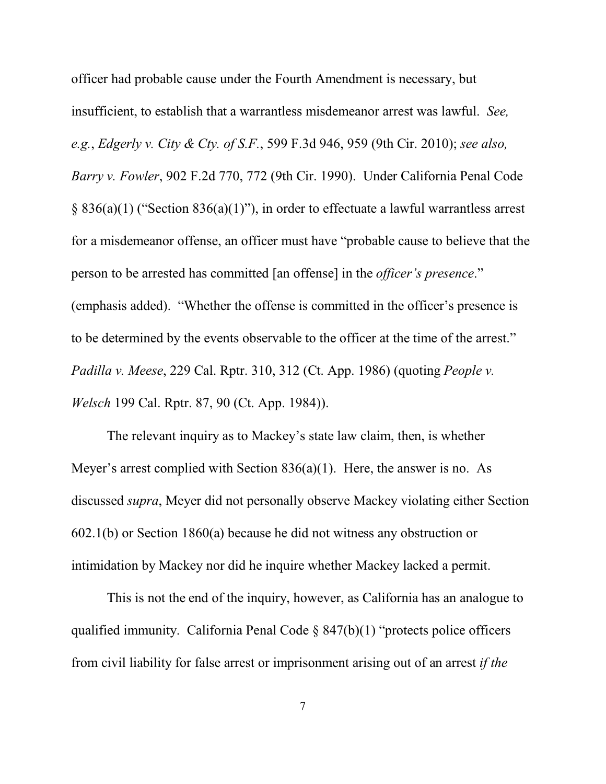officer had probable cause under the Fourth Amendment is necessary, but insufficient, to establish that a warrantless misdemeanor arrest was lawful. *See, e.g.*, *Edgerly v. City & Cty. of S.F.*, 599 F.3d 946, 959 (9th Cir. 2010); *see also, Barry v. Fowler*, 902 F.2d 770, 772 (9th Cir. 1990). Under California Penal Code § 836(a)(1) ("Section 836(a)(1)"), in order to effectuate a lawful warrantless arrest for a misdemeanor offense, an officer must have "probable cause to believe that the person to be arrested has committed [an offense] in the *officer's presence*." (emphasis added). "Whether the offense is committed in the officer's presence is to be determined by the events observable to the officer at the time of the arrest." *Padilla v. Meese*, 229 Cal. Rptr. 310, 312 (Ct. App. 1986) (quoting *People v. Welsch* 199 Cal. Rptr. 87, 90 (Ct. App. 1984)).

The relevant inquiry as to Mackey's state law claim, then, is whether Meyer's arrest complied with Section  $836(a)(1)$ . Here, the answer is no. As discussed *supra*, Meyer did not personally observe Mackey violating either Section 602.1(b) or Section 1860(a) because he did not witness any obstruction or intimidation by Mackey nor did he inquire whether Mackey lacked a permit.

This is not the end of the inquiry, however, as California has an analogue to qualified immunity. California Penal Code  $\S 847(b)(1)$  "protects police officers from civil liability for false arrest or imprisonment arising out of an arrest *if the*